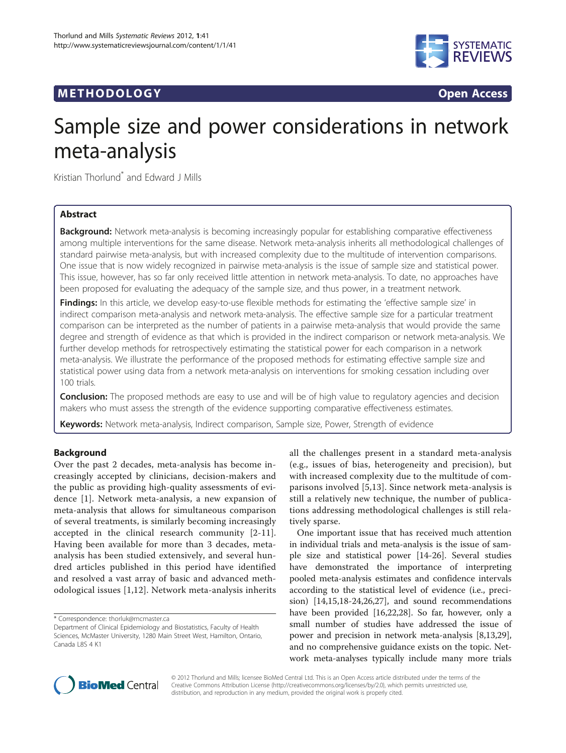# **METHODOLOGY CONSUMING ACCESS**



# Sample size and power considerations in network meta-analysis

Kristian Thorlund\* and Edward J Mills

### Abstract

Background: Network meta-analysis is becoming increasingly popular for establishing comparative effectiveness among multiple interventions for the same disease. Network meta-analysis inherits all methodological challenges of standard pairwise meta-analysis, but with increased complexity due to the multitude of intervention comparisons. One issue that is now widely recognized in pairwise meta-analysis is the issue of sample size and statistical power. This issue, however, has so far only received little attention in network meta-analysis. To date, no approaches have been proposed for evaluating the adequacy of the sample size, and thus power, in a treatment network.

Findings: In this article, we develop easy-to-use flexible methods for estimating the 'effective sample size' in indirect comparison meta-analysis and network meta-analysis. The effective sample size for a particular treatment comparison can be interpreted as the number of patients in a pairwise meta-analysis that would provide the same degree and strength of evidence as that which is provided in the indirect comparison or network meta-analysis. We further develop methods for retrospectively estimating the statistical power for each comparison in a network meta-analysis. We illustrate the performance of the proposed methods for estimating effective sample size and statistical power using data from a network meta-analysis on interventions for smoking cessation including over 100 trials.

**Conclusion:** The proposed methods are easy to use and will be of high value to regulatory agencies and decision makers who must assess the strength of the evidence supporting comparative effectiveness estimates.

Keywords: Network meta-analysis, Indirect comparison, Sample size, Power, Strength of evidence

#### Background

Over the past 2 decades, meta-analysis has become increasingly accepted by clinicians, decision-makers and the public as providing high-quality assessments of evidence [\[1](#page-12-0)]. Network meta-analysis, a new expansion of meta-analysis that allows for simultaneous comparison of several treatments, is similarly becoming increasingly accepted in the clinical research community [\[2](#page-12-0)-[11](#page-12-0)]. Having been available for more than 3 decades, metaanalysis has been studied extensively, and several hundred articles published in this period have identified and resolved a vast array of basic and advanced methodological issues [\[1](#page-12-0),[12\]](#page-12-0). Network meta-analysis inherits

\* Correspondence: [thorluk@mcmaster.ca](mailto:thorluk@mcmaster.ca)

all the challenges present in a standard meta-analysis (e.g., issues of bias, heterogeneity and precision), but with increased complexity due to the multitude of comparisons involved [[5,13\]](#page-12-0). Since network meta-analysis is still a relatively new technique, the number of publications addressing methodological challenges is still relatively sparse.

One important issue that has received much attention in individual trials and meta-analysis is the issue of sample size and statistical power [[14](#page-12-0)-[26\]](#page-12-0). Several studies have demonstrated the importance of interpreting pooled meta-analysis estimates and confidence intervals according to the statistical level of evidence (i.e., precision) [\[14,15,18-24,26,27](#page-12-0)], and sound recommendations have been provided [[16,22,28\]](#page-12-0). So far, however, only a small number of studies have addressed the issue of power and precision in network meta-analysis [\[8,13,29](#page-12-0)], and no comprehensive guidance exists on the topic. Network meta-analyses typically include many more trials



© 2012 Thorlund and Mills; licensee BioMed Central Ltd. This is an Open Access article distributed under the terms of the Creative Commons Attribution License (<http://creativecommons.org/licenses/by/2.0>), which permits unrestricted use, distribution, and reproduction in any medium, provided the original work is properly cited.

Department of Clinical Epidemiology and Biostatistics, Faculty of Health Sciences, McMaster University, 1280 Main Street West, Hamilton, Ontario, Canada L8S 4 K1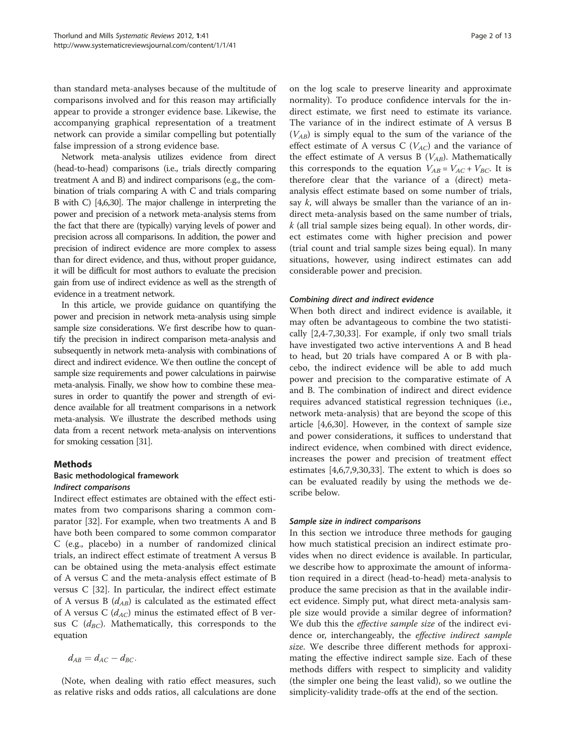than standard meta-analyses because of the multitude of comparisons involved and for this reason may artificially appear to provide a stronger evidence base. Likewise, the accompanying graphical representation of a treatment network can provide a similar compelling but potentially false impression of a strong evidence base.

Network meta-analysis utilizes evidence from direct (head-to-head) comparisons (i.e., trials directly comparing treatment A and B) and indirect comparisons (e.g., the combination of trials comparing A with C and trials comparing B with C) [\[4,6,30\]](#page-12-0). The major challenge in interpreting the power and precision of a network meta-analysis stems from the fact that there are (typically) varying levels of power and precision across all comparisons. In addition, the power and precision of indirect evidence are more complex to assess than for direct evidence, and thus, without proper guidance, it will be difficult for most authors to evaluate the precision gain from use of indirect evidence as well as the strength of evidence in a treatment network.

In this article, we provide guidance on quantifying the power and precision in network meta-analysis using simple sample size considerations. We first describe how to quantify the precision in indirect comparison meta-analysis and subsequently in network meta-analysis with combinations of direct and indirect evidence. We then outline the concept of sample size requirements and power calculations in pairwise meta-analysis. Finally, we show how to combine these measures in order to quantify the power and strength of evidence available for all treatment comparisons in a network meta-analysis. We illustrate the described methods using data from a recent network meta-analysis on interventions for smoking cessation [\[31](#page-12-0)].

#### Methods

#### Basic methodological framework Indirect comparisons

## Indirect effect estimates are obtained with the effect estimates from two comparisons sharing a common comparator [[32](#page-12-0)]. For example, when two treatments A and B have both been compared to some common comparator C (e.g., placebo) in a number of randomized clinical trials, an indirect effect estimate of treatment A versus B can be obtained using the meta-analysis effect estimate of A versus C and the meta-analysis effect estimate of B versus C [\[32](#page-12-0)]. In particular, the indirect effect estimate of A versus B  $(d_{AB})$  is calculated as the estimated effect of A versus C ( $d_{AC}$ ) minus the estimated effect of B versus C  $(d_{BC})$ . Mathematically, this corresponds to the equation

$$
d_{AB}=d_{AC}-d_{BC}.
$$

(Note, when dealing with ratio effect measures, such as relative risks and odds ratios, all calculations are done

on the log scale to preserve linearity and approximate normality). To produce confidence intervals for the indirect estimate, we first need to estimate its variance. The variance of in the indirect estimate of A versus B  $(V_{AB})$  is simply equal to the sum of the variance of the effect estimate of A versus C  $(V_{AC})$  and the variance of the effect estimate of A versus B  $(V_{AB})$ . Mathematically this corresponds to the equation  $V_{AB} = V_{AC} + V_{BC}$ . It is therefore clear that the variance of a (direct) metaanalysis effect estimate based on some number of trials, say  $k$ , will always be smaller than the variance of an indirect meta-analysis based on the same number of trials,  $k$  (all trial sample sizes being equal). In other words, direct estimates come with higher precision and power (trial count and trial sample sizes being equal). In many situations, however, using indirect estimates can add considerable power and precision.

#### Combining direct and indirect evidence

When both direct and indirect evidence is available, it may often be advantageous to combine the two statistically [\[2,4](#page-12-0)-[7,30,33\]](#page-12-0). For example, if only two small trials have investigated two active interventions A and B head to head, but 20 trials have compared A or B with placebo, the indirect evidence will be able to add much power and precision to the comparative estimate of A and B. The combination of indirect and direct evidence requires advanced statistical regression techniques (i.e., network meta-analysis) that are beyond the scope of this article [\[4](#page-12-0),[6](#page-12-0),[30](#page-12-0)]. However, in the context of sample size and power considerations, it suffices to understand that indirect evidence, when combined with direct evidence, increases the power and precision of treatment effect estimates [\[4,6](#page-12-0),[7](#page-12-0),[9](#page-12-0),[30](#page-12-0),[33](#page-12-0)]. The extent to which is does so can be evaluated readily by using the methods we describe below.

#### Sample size in indirect comparisons

In this section we introduce three methods for gauging how much statistical precision an indirect estimate provides when no direct evidence is available. In particular, we describe how to approximate the amount of information required in a direct (head-to-head) meta-analysis to produce the same precision as that in the available indirect evidence. Simply put, what direct meta-analysis sample size would provide a similar degree of information? We dub this the *effective sample size* of the indirect evidence or, interchangeably, the effective indirect sample size. We describe three different methods for approximating the effective indirect sample size. Each of these methods differs with respect to simplicity and validity (the simpler one being the least valid), so we outline the simplicity-validity trade-offs at the end of the section.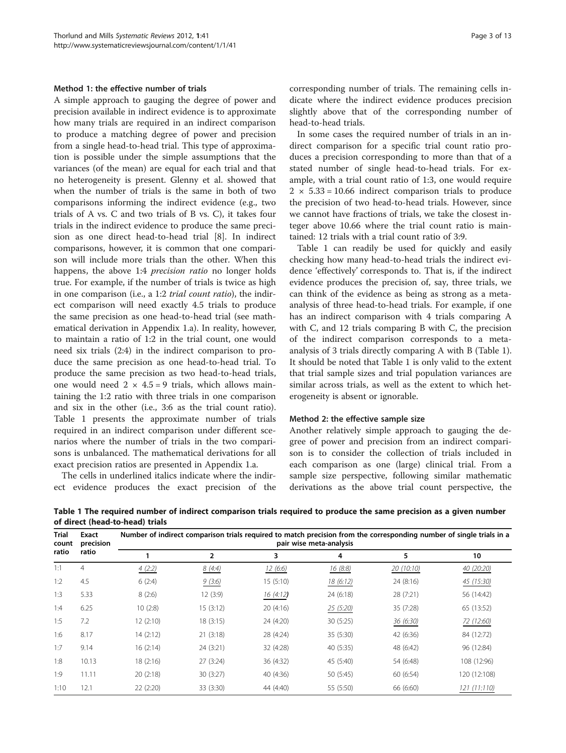#### <span id="page-2-0"></span>Method 1: the effective number of trials

A simple approach to gauging the degree of power and precision available in indirect evidence is to approximate how many trials are required in an indirect comparison to produce a matching degree of power and precision from a single head-to-head trial. This type of approximation is possible under the simple assumptions that the variances (of the mean) are equal for each trial and that no heterogeneity is present. Glenny et al. showed that when the number of trials is the same in both of two comparisons informing the indirect evidence (e.g., two trials of A vs. C and two trials of B vs. C), it takes four trials in the indirect evidence to produce the same precision as one direct head-to-head trial [[8](#page-12-0)]. In indirect comparisons, however, it is common that one comparison will include more trials than the other. When this happens, the above 1:4 *precision ratio* no longer holds true. For example, if the number of trials is twice as high in one comparison (i.e., a 1:2 trial count ratio), the indirect comparison will need exactly 4.5 trials to produce the same precision as one head-to-head trial (see mathematical derivation in [Appendix](#page-10-0) 1.a). In reality, however, to maintain a ratio of 1:2 in the trial count, one would need six trials (2:4) in the indirect comparison to produce the same precision as one head-to-head trial. To produce the same precision as two head-to-head trials, one would need  $2 \times 4.5 = 9$  trials, which allows maintaining the 1:2 ratio with three trials in one comparison and six in the other (i.e., 3:6 as the trial count ratio). Table 1 presents the approximate number of trials required in an indirect comparison under different scenarios where the number of trials in the two comparisons is unbalanced. The mathematical derivations for all exact precision ratios are presented in [Appendix](#page-10-0) 1.a.

The cells in underlined italics indicate where the indirect evidence produces the exact precision of the corresponding number of trials. The remaining cells indicate where the indirect evidence produces precision slightly above that of the corresponding number of head-to-head trials.

In some cases the required number of trials in an indirect comparison for a specific trial count ratio produces a precision corresponding to more than that of a stated number of single head-to-head trials. For example, with a trial count ratio of 1:3, one would require  $2 \times 5.33 = 10.66$  indirect comparison trials to produce the precision of two head-to-head trials. However, since we cannot have fractions of trials, we take the closest integer above 10.66 where the trial count ratio is maintained: 12 trials with a trial count ratio of 3:9.

Table 1 can readily be used for quickly and easily checking how many head-to-head trials the indirect evidence 'effectively' corresponds to. That is, if the indirect evidence produces the precision of, say, three trials, we can think of the evidence as being as strong as a metaanalysis of three head-to-head trials. For example, if one has an indirect comparison with 4 trials comparing A with C, and 12 trials comparing B with C, the precision of the indirect comparison corresponds to a metaanalysis of 3 trials directly comparing A with B (Table 1). It should be noted that Table 1 is only valid to the extent that trial sample sizes and trial population variances are similar across trials, as well as the extent to which heterogeneity is absent or ignorable.

#### Method 2: the effective sample size

Another relatively simple approach to gauging the degree of power and precision from an indirect comparison is to consider the collection of trials included in each comparison as one (large) clinical trial. From a sample size perspective, following similar mathematic derivations as the above trial count perspective, the

Table 1 The required number of indirect comparison trials required to produce the same precision as a given number of direct (head-to-head) trials

| <b>Trial</b><br>count<br>ratio | Exact<br>precision<br>ratio | Number of indirect comparison trials required to match precision from the corresponding number of single trials in a<br>pair wise meta-analysis |                |           |           |            |              |  |  |
|--------------------------------|-----------------------------|-------------------------------------------------------------------------------------------------------------------------------------------------|----------------|-----------|-----------|------------|--------------|--|--|
|                                |                             |                                                                                                                                                 | $\overline{2}$ | 3         | 4         | 5          | 10           |  |  |
| 1:1                            | $\overline{4}$              | 4(2:2)                                                                                                                                          | 8(4:4)         | 12(6.6)   | 16 (8:8)  | 20 (10:10) | 40 (20:20)   |  |  |
| 1:2                            | 4.5                         | 6(2:4)                                                                                                                                          | 9(3:6)         | 15(5:10)  | 18 (6:12) | 24(8:16)   | 45 (15:30)   |  |  |
| 1:3                            | 5.33                        | 8(2:6)                                                                                                                                          | 12(3:9)        | 16(4:12)  | 24 (6:18) | 28 (7:21)  | 56 (14:42)   |  |  |
| 1:4                            | 6.25                        | 10(2:8)                                                                                                                                         | 15(3:12)       | 20(4:16)  | 25(5:20)  | 35 (7:28)  | 65 (13:52)   |  |  |
| 1:5                            | 7.2                         | 12(2:10)                                                                                                                                        | 18(3:15)       | 24 (4:20) | 30 (5:25) | 36 (6:30)  | 72 (12:60)   |  |  |
| 1:6                            | 8.17                        | 14(2:12)                                                                                                                                        | 21(3:18)       | 28 (4:24) | 35 (5:30) | 42 (6:36)  | 84 (12:72)   |  |  |
| 1:7                            | 9.14                        | 16(2:14)                                                                                                                                        | 24 (3:21)      | 32 (4:28) | 40 (5:35) | 48 (6:42)  | 96 (12:84)   |  |  |
| 1:8                            | 10.13                       | 18(2:16)                                                                                                                                        | 27(3:24)       | 36 (4:32) | 45 (5:40) | 54 (6:48)  | 108 (12:96)  |  |  |
| 1:9                            | 11.11                       | 20(2:18)                                                                                                                                        | 30(3:27)       | 40 (4:36) | 50 (5:45) | 60 (6:54)  | 120 (12:108) |  |  |
| 1:10                           | 12.1                        | 22(2:20)                                                                                                                                        | 33 (3:30)      | 44 (4:40) | 55 (5:50) | 66 (6:60)  | 121 (11:110) |  |  |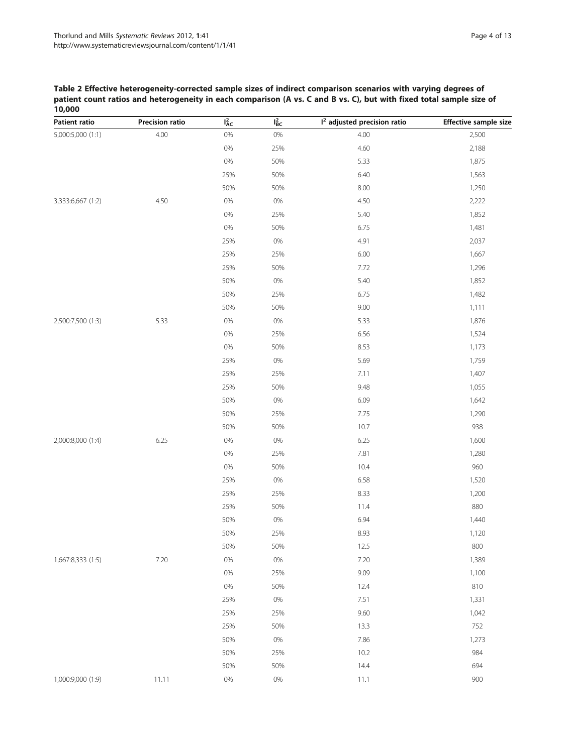<span id="page-3-0"></span>Table 2 Effective heterogeneity-corrected sample sizes of indirect comparison scenarios with varying degrees of patient count ratios and heterogeneity in each comparison (A vs. C and B vs. C), but with fixed total sample size of 10,000

| <b>Patient ratio</b> | <b>Precision ratio</b> | $I_{AC}^2$ | $I_{BC}^2$ | <sup>12</sup> adjusted precision ratio | Effective sample size |
|----------------------|------------------------|------------|------------|----------------------------------------|-----------------------|
| 5,000:5,000 (1:1)    | 4.00                   | 0%         | 0%         | 4.00                                   | 2,500                 |
|                      |                        | 0%         | 25%        | 4.60                                   | 2,188                 |
|                      |                        | 0%         | 50%        | 5.33                                   | 1,875                 |
|                      |                        | 25%        | 50%        | 6.40                                   | 1,563                 |
|                      |                        | 50%        | 50%        | 8.00                                   | 1,250                 |
| 3,333:6,667 (1:2)    | 4.50                   | 0%         | $0\%$      | 4.50                                   | 2,222                 |
|                      |                        | 0%         | 25%        | 5.40                                   | 1,852                 |
|                      |                        | 0%         | 50%        | 6.75                                   | 1,481                 |
|                      |                        | 25%        | $0\%$      | 4.91                                   | 2,037                 |
|                      |                        | 25%        | 25%        | 6.00                                   | 1,667                 |
|                      |                        | 25%        | 50%        | 7.72                                   | 1,296                 |
|                      |                        | 50%        | $0\%$      | 5.40                                   | 1,852                 |
|                      |                        | 50%        | 25%        | 6.75                                   | 1,482                 |
|                      |                        | 50%        | 50%        | 9.00                                   | 1,111                 |
| 2,500:7,500 (1:3)    | 5.33                   | 0%         | $0\%$      | 5.33                                   | 1,876                 |
|                      |                        | 0%         | 25%        | 6.56                                   | 1,524                 |
|                      |                        | 0%         | 50%        | 8.53                                   | 1,173                 |
|                      |                        | 25%        | $0\%$      | 5.69                                   | 1,759                 |
|                      |                        | 25%        | 25%        | 7.11                                   | 1,407                 |
|                      |                        | 25%        | 50%        | 9.48                                   | 1,055                 |
|                      |                        | 50%        | $0\%$      | 6.09                                   | 1,642                 |
|                      |                        | 50%        | 25%        | 7.75                                   | 1,290                 |
|                      |                        | 50%        | 50%        | 10.7                                   | 938                   |
| 2,000:8,000 (1:4)    | 6.25                   | 0%         | $0\%$      | 6.25                                   | 1,600                 |
|                      |                        | 0%         | 25%        | 7.81                                   | 1,280                 |
|                      |                        | 0%         | 50%        | 10.4                                   | 960                   |
|                      |                        | 25%        | 0%         | 6.58                                   | 1,520                 |
|                      |                        | 25%        | 25%        | 8.33                                   | 1,200                 |
|                      |                        | 25%        | 50%        | 11.4                                   | 880                   |
|                      |                        | 50%        | $0\%$      | 6.94                                   | 1,440                 |
|                      |                        | 50%        | 25%        | 8.93                                   | 1,120                 |
|                      |                        | 50%        | 50%        | 12.5                                   | 800                   |
| 1,667:8,333 (1:5)    | 7.20                   | 0%         | $0\%$      | 7.20                                   | 1,389                 |
|                      |                        | 0%         | 25%        | 9.09                                   | 1,100                 |
|                      |                        | 0%         | 50%        | 12.4                                   | 810                   |
|                      |                        | 25%        | 0%         | 7.51                                   | 1,331                 |
|                      |                        | 25%        | 25%        | 9.60                                   | 1,042                 |
|                      |                        | 25%        | 50%        | 13.3                                   | 752                   |
|                      |                        | 50%        | 0%         | 7.86                                   | 1,273                 |
|                      |                        | 50%        | 25%        | 10.2                                   | 984                   |
|                      |                        | 50%        | 50%        | 14.4                                   | 694                   |
| 1,000:9,000 (1:9)    | 11.11                  | 0%         | 0%         | 11.1                                   | 900                   |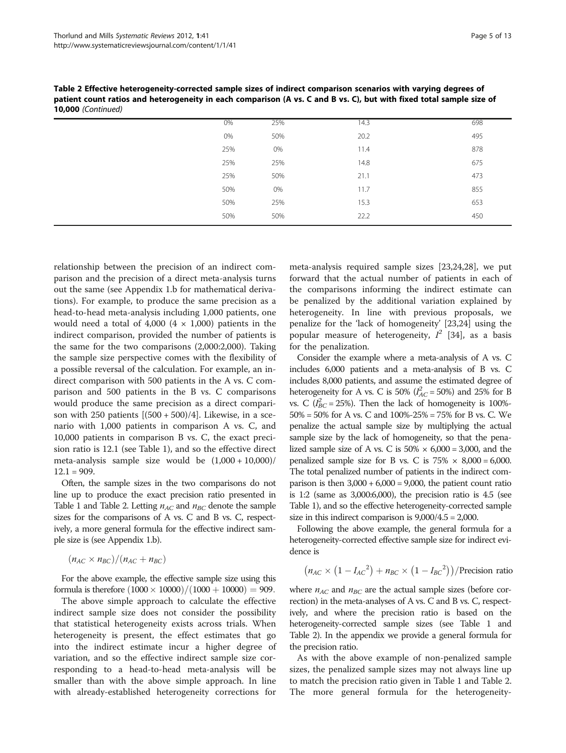| 0%  | 25% | 14.3 | 698 |
|-----|-----|------|-----|
| 0%  | 50% | 20.2 | 495 |
| 25% | 0%  | 11.4 | 878 |
| 25% | 25% | 14.8 | 675 |
| 25% | 50% | 21.1 | 473 |
| 50% | 0%  | 11.7 | 855 |
| 50% | 25% | 15.3 | 653 |
| 50% | 50% | 22.2 | 450 |
|     |     |      |     |

Table 2 Effective heterogeneity-corrected sample sizes of indirect comparison scenarios with varying degrees of patient count ratios and heterogeneity in each comparison (A vs. C and B vs. C), but with fixed total sample size of 10,000 (Continued)

relationship between the precision of an indirect comparison and the precision of a direct meta-analysis turns out the same (see [Appendix 1.b](#page-10-0) for mathematical derivations). For example, to produce the same precision as a head-to-head meta-analysis including 1,000 patients, one would need a total of 4,000  $(4 \times 1,000)$  patients in the indirect comparison, provided the number of patients is the same for the two comparisons (2,000:2,000). Taking the sample size perspective comes with the flexibility of a possible reversal of the calculation. For example, an indirect comparison with 500 patients in the A vs. C comparison and 500 patients in the B vs. C comparisons would produce the same precision as a direct comparison with 250 patients  $[(500 + 500)/4]$ . Likewise, in a scenario with 1,000 patients in comparison A vs. C, and 10,000 patients in comparison B vs. C, the exact precision ratio is 12.1 (see Table [1](#page-2-0)), and so the effective direct meta-analysis sample size would be  $(1,000 + 10,000)$ /  $12.1 = 909$ .

Often, the sample sizes in the two comparisons do not line up to produce the exact precision ratio presented in Table [1](#page-2-0) and Table [2](#page-3-0). Letting  $n_{AC}$  and  $n_{BC}$  denote the sample sizes for the comparisons of A vs. C and B vs. C, respectively, a more general formula for the effective indirect sample size is (see [Appendix 1.b](#page-10-0)).

$$
(n_{AC} \times n_{BC})/(n_{AC} + n_{BC})
$$

For the above example, the effective sample size using this formula is therefore  $(1000 \times 10000)/(1000 + 10000) = 909$ .

The above simple approach to calculate the effective indirect sample size does not consider the possibility that statistical heterogeneity exists across trials. When heterogeneity is present, the effect estimates that go into the indirect estimate incur a higher degree of variation, and so the effective indirect sample size corresponding to a head-to-head meta-analysis will be smaller than with the above simple approach. In line with already-established heterogeneity corrections for

meta-analysis required sample sizes [[23](#page-12-0),[24](#page-12-0),[28](#page-12-0)], we put forward that the actual number of patients in each of the comparisons informing the indirect estimate can be penalized by the additional variation explained by heterogeneity. In line with previous proposals, we penalize for the 'lack of homogeneity' [[23,24\]](#page-12-0) using the popular measure of heterogeneity,  $I^2$  [\[34\]](#page-12-0), as a basis for the penalization.

Consider the example where a meta-analysis of A vs. C includes 6,000 patients and a meta-analysis of B vs. C includes 8,000 patients, and assume the estimated degree of heterogeneity for A vs. C is 50% ( $I_{AC}^2$  = 50%) and 25% for B vs. C  $(l_{BC}^2 = 25\%)$ . Then the lack of homogeneity is 100%-50% = 50% for A vs. C and 100%-25% = 75% for B vs. C. We penalize the actual sample size by multiplying the actual sample size by the lack of homogeneity, so that the penalized sample size of A vs. C is  $50\% \times 6,000 = 3,000$ , and the penalized sample size for B vs. C is  $75\% \times 8,000 = 6,000$ . The total penalized number of patients in the indirect comparison is then  $3,000 + 6,000 = 9,000$ , the patient count ratio is 1:2 (same as 3,000:6,000), the precision ratio is 4.5 (see Table [1\)](#page-2-0), and so the effective heterogeneity-corrected sample size in this indirect comparison is  $9,000/4.5 = 2,000$ .

Following the above example, the general formula for a heterogeneity-corrected effective sample size for indirect evidence is

$$
(n_{AC} \times (1 - I_{AC}^2) + n_{BC} \times (1 - I_{BC}^2)) / \text{Precision ratio}
$$

where  $n_{AC}$  and  $n_{BC}$  are the actual sample sizes (before correction) in the meta-analyses of A vs. C and B vs. C, respectively, and where the precision ratio is based on the heterogeneity-corrected sample sizes (see Table [1](#page-2-0) and Table [2\)](#page-3-0). In the appendix we provide a general formula for the precision ratio.

As with the above example of non-penalized sample sizes, the penalized sample sizes may not always line up to match the precision ratio given in Table [1](#page-2-0) and Table [2](#page-3-0). The more general formula for the heterogeneity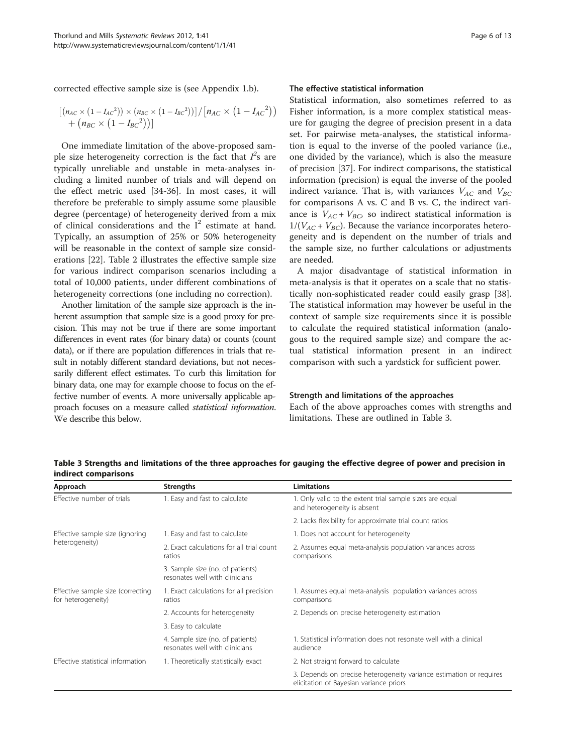corrected effective sample size is (see [Appendix 1.b](#page-10-0)).

$$
\begin{array}{l}\n\left[\left(n_{AC} \times (1 - I_{AC}^{2})\right) \times \left(n_{BC} \times (1 - I_{BC}^{2})\right)\right] / \left[n_{AC} \times (1 - I_{AC}^{2})\right) \\
+ \left(n_{BC} \times (1 - I_{BC}^{2})\right)\n\end{array}
$$

One immediate limitation of the above-proposed sample size heterogeneity correction is the fact that  $I^2$ s are typically unreliable and unstable in meta-analyses including a limited number of trials and will depend on the effect metric used [\[34-36](#page-12-0)]. In most cases, it will therefore be preferable to simply assume some plausible degree (percentage) of heterogeneity derived from a mix of clinical considerations and the  $I^2$  estimate at hand. Typically, an assumption of 25% or 50% heterogeneity will be reasonable in the context of sample size considerations [[22\]](#page-12-0). Table [2](#page-3-0) illustrates the effective sample size for various indirect comparison scenarios including a total of 10,000 patients, under different combinations of heterogeneity corrections (one including no correction).

Another limitation of the sample size approach is the inherent assumption that sample size is a good proxy for precision. This may not be true if there are some important differences in event rates (for binary data) or counts (count data), or if there are population differences in trials that result in notably different standard deviations, but not necessarily different effect estimates. To curb this limitation for binary data, one may for example choose to focus on the effective number of events. A more universally applicable approach focuses on a measure called statistical information. We describe this below.

#### The effective statistical information

Statistical information, also sometimes referred to as Fisher information, is a more complex statistical measure for gauging the degree of precision present in a data set. For pairwise meta-analyses, the statistical information is equal to the inverse of the pooled variance (i.e., one divided by the variance), which is also the measure of precision [[37\]](#page-12-0). For indirect comparisons, the statistical information (precision) is equal the inverse of the pooled indirect variance. That is, with variances  $V_{AC}$  and  $V_{BC}$ for comparisons A vs. C and B vs. C, the indirect variance is  $V_{AC} + V_{BC}$  so indirect statistical information is  $1/(V_{AC} + V_{BC})$ . Because the variance incorporates heterogeneity and is dependent on the number of trials and the sample size, no further calculations or adjustments are needed.

A major disadvantage of statistical information in meta-analysis is that it operates on a scale that no statistically non-sophisticated reader could easily grasp [\[38](#page-12-0)]. The statistical information may however be useful in the context of sample size requirements since it is possible to calculate the required statistical information (analogous to the required sample size) and compare the actual statistical information present in an indirect comparison with such a yardstick for sufficient power.

#### Strength and limitations of the approaches

Each of the above approaches comes with strengths and limitations. These are outlined in Table 3.

| Approach                                                | <b>Strengths</b>                                                   | <b>Limitations</b>                                                                                             |  |  |
|---------------------------------------------------------|--------------------------------------------------------------------|----------------------------------------------------------------------------------------------------------------|--|--|
| Effective number of trials                              | 1. Easy and fast to calculate                                      | 1. Only valid to the extent trial sample sizes are equal<br>and heterogeneity is absent                        |  |  |
|                                                         |                                                                    | 2. Lacks flexibility for approximate trial count ratios                                                        |  |  |
| Effective sample size (ignoring                         | 1. Easy and fast to calculate                                      | 1. Does not account for heterogeneity                                                                          |  |  |
| heterogeneity)                                          | 2. Exact calculations for all trial count<br>ratios                | 2. Assumes equal meta-analysis population variances across<br>comparisons                                      |  |  |
|                                                         | 3. Sample size (no. of patients)<br>resonates well with clinicians |                                                                                                                |  |  |
| Effective sample size (correcting<br>for heterogeneity) | 1. Exact calculations for all precision<br>ratios                  | 1. Assumes equal meta-analysis population variances across<br>comparisons                                      |  |  |
|                                                         | 2. Accounts for heterogeneity                                      | 2. Depends on precise heterogeneity estimation                                                                 |  |  |
|                                                         | 3. Easy to calculate                                               |                                                                                                                |  |  |
|                                                         | 4. Sample size (no. of patients)<br>resonates well with clinicians | 1. Statistical information does not resonate well with a clinical<br>audience                                  |  |  |
| Effective statistical information                       | 1. Theoretically statistically exact                               | 2. Not straight forward to calculate                                                                           |  |  |
|                                                         |                                                                    | 3. Depends on precise heterogeneity variance estimation or requires<br>elicitation of Bayesian variance priors |  |  |

Table 3 Strengths and limitations of the three approaches for gauging the effective degree of power and precision in indirect comparisons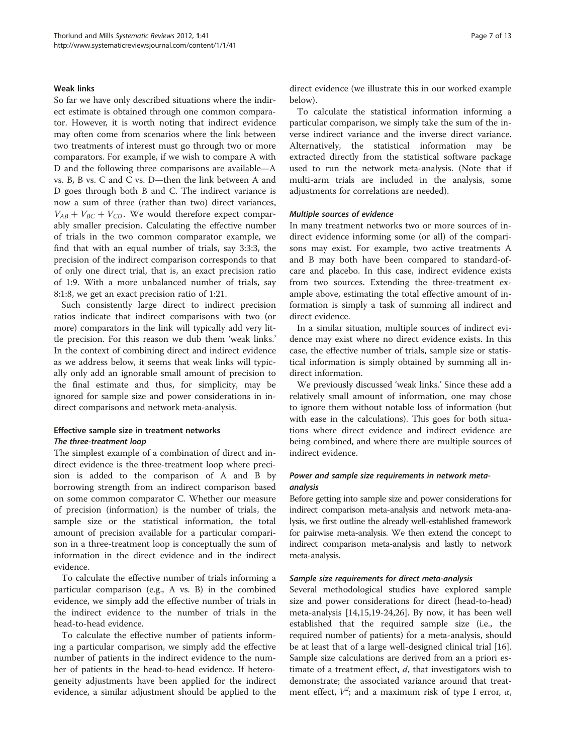#### Weak links

So far we have only described situations where the indirect estimate is obtained through one common comparator. However, it is worth noting that indirect evidence may often come from scenarios where the link between two treatments of interest must go through two or more comparators. For example, if we wish to compare A with D and the following three comparisons are available—A vs. B, B vs. C and C vs. D—then the link between A and D goes through both B and C. The indirect variance is now a sum of three (rather than two) direct variances,  $V_{AB} + V_{BC} + V_{CD}$ . We would therefore expect comparably smaller precision. Calculating the effective number of trials in the two common comparator example, we find that with an equal number of trials, say 3:3:3, the precision of the indirect comparison corresponds to that of only one direct trial, that is, an exact precision ratio of 1:9. With a more unbalanced number of trials, say 8:1:8, we get an exact precision ratio of 1:21.

Such consistently large direct to indirect precision ratios indicate that indirect comparisons with two (or more) comparators in the link will typically add very little precision. For this reason we dub them 'weak links.' In the context of combining direct and indirect evidence as we address below, it seems that weak links will typically only add an ignorable small amount of precision to the final estimate and thus, for simplicity, may be ignored for sample size and power considerations in indirect comparisons and network meta-analysis.

#### Effective sample size in treatment networks The three-treatment loop

The simplest example of a combination of direct and indirect evidence is the three-treatment loop where precision is added to the comparison of A and B by borrowing strength from an indirect comparison based on some common comparator C. Whether our measure of precision (information) is the number of trials, the sample size or the statistical information, the total amount of precision available for a particular comparison in a three-treatment loop is conceptually the sum of information in the direct evidence and in the indirect evidence.

To calculate the effective number of trials informing a particular comparison (e.g., A vs. B) in the combined evidence, we simply add the effective number of trials in the indirect evidence to the number of trials in the head-to-head evidence.

To calculate the effective number of patients informing a particular comparison, we simply add the effective number of patients in the indirect evidence to the number of patients in the head-to-head evidence. If heterogeneity adjustments have been applied for the indirect evidence, a similar adjustment should be applied to the direct evidence (we illustrate this in our worked example below).

To calculate the statistical information informing a particular comparison, we simply take the sum of the inverse indirect variance and the inverse direct variance. Alternatively, the statistical information may be extracted directly from the statistical software package used to run the network meta-analysis. (Note that if multi-arm trials are included in the analysis, some adjustments for correlations are needed).

#### Multiple sources of evidence

In many treatment networks two or more sources of indirect evidence informing some (or all) of the comparisons may exist. For example, two active treatments A and B may both have been compared to standard-ofcare and placebo. In this case, indirect evidence exists from two sources. Extending the three-treatment example above, estimating the total effective amount of information is simply a task of summing all indirect and direct evidence.

In a similar situation, multiple sources of indirect evidence may exist where no direct evidence exists. In this case, the effective number of trials, sample size or statistical information is simply obtained by summing all indirect information.

We previously discussed 'weak links.' Since these add a relatively small amount of information, one may chose to ignore them without notable loss of information (but with ease in the calculations). This goes for both situations where direct evidence and indirect evidence are being combined, and where there are multiple sources of indirect evidence.

#### Power and sample size requirements in network metaanalysis

Before getting into sample size and power considerations for indirect comparison meta-analysis and network meta-analysis, we first outline the already well-established framework for pairwise meta-analysis. We then extend the concept to indirect comparison meta-analysis and lastly to network meta-analysis.

#### Sample size requirements for direct meta-analysis

Several methodological studies have explored sample size and power considerations for direct (head-to-head) meta-analysis [[14](#page-12-0),[15](#page-12-0),[19](#page-12-0)-[24,26\]](#page-12-0). By now, it has been well established that the required sample size (i.e., the required number of patients) for a meta-analysis, should be at least that of a large well-designed clinical trial [\[16](#page-12-0)]. Sample size calculations are derived from an a priori estimate of a treatment effect,  $d$ , that investigators wish to demonstrate; the associated variance around that treatment effect,  $V^2$ ; and a maximum risk of type I error,  $\alpha$ ,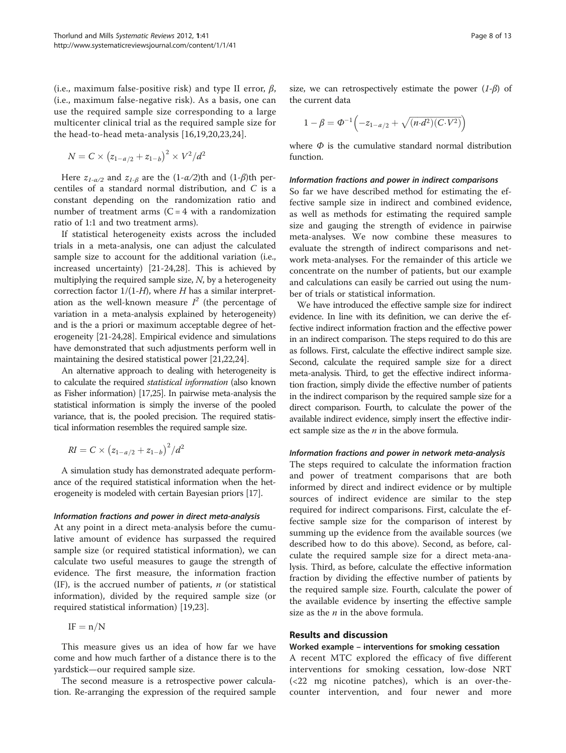(i.e., maximum false-positive risk) and type II error,  $\beta$ , (i.e., maximum false-negative risk). As a basis, one can use the required sample size corresponding to a large multicenter clinical trial as the required sample size for the head-to-head meta-analysis [\[16](#page-12-0),[19,20,23,24\]](#page-12-0).

$$
N = C \times (z_{1-a/2} + z_{1-b})^2 \times V^2/d^2
$$

Here  $z_{1-\alpha/2}$  and  $z_{1-\beta}$  are the (1- $\alpha/2$ )th and (1- $\beta$ )th percentiles of a standard normal distribution, and C is a constant depending on the randomization ratio and number of treatment arms  $(C = 4$  with a randomization ratio of 1:1 and two treatment arms).

If statistical heterogeneity exists across the included trials in a meta-analysis, one can adjust the calculated sample size to account for the additional variation (i.e., increased uncertainty) [\[21](#page-12-0)-[24,28\]](#page-12-0). This is achieved by multiplying the required sample size,  $N$ , by a heterogeneity correction factor  $1/(1-H)$ , where H has a similar interpretation as the well-known measure  $I^2$  (the percentage of variation in a meta-analysis explained by heterogeneity) and is the a priori or maximum acceptable degree of heterogeneity [\[21-24,28\]](#page-12-0). Empirical evidence and simulations have demonstrated that such adjustments perform well in maintaining the desired statistical power [[21,22,24\]](#page-12-0).

An alternative approach to dealing with heterogeneity is to calculate the required statistical information (also known as Fisher information) [\[17,25](#page-12-0)]. In pairwise meta-analysis the statistical information is simply the inverse of the pooled variance, that is, the pooled precision. The required statistical information resembles the required sample size.

$$
RI = C \times (z_{1-a/2} + z_{1-b})^2 / d^2
$$

A simulation study has demonstrated adequate performance of the required statistical information when the heterogeneity is modeled with certain Bayesian priors [[17](#page-12-0)].

#### Information fractions and power in direct meta-analysis

At any point in a direct meta-analysis before the cumulative amount of evidence has surpassed the required sample size (or required statistical information), we can calculate two useful measures to gauge the strength of evidence. The first measure, the information fraction (IF), is the accrued number of patients,  $n$  (or statistical information), divided by the required sample size (or required statistical information) [[19,23\]](#page-12-0).

 $IF = n/N$ 

This measure gives us an idea of how far we have come and how much farther of a distance there is to the yardstick—our required sample size.

The second measure is a retrospective power calculation. Re-arranging the expression of the required sample size, we can retrospectively estimate the power  $(1-\beta)$  of the current data

$$
1 - \beta = \Phi^{-1}\left(-z_{1-a/2} + \sqrt{(n \cdot d^2)(C \cdot V^2)}\right)
$$

where  $\Phi$  is the cumulative standard normal distribution function.

#### Information fractions and power in indirect comparisons

So far we have described method for estimating the effective sample size in indirect and combined evidence, as well as methods for estimating the required sample size and gauging the strength of evidence in pairwise meta-analyses. We now combine these measures to evaluate the strength of indirect comparisons and network meta-analyses. For the remainder of this article we concentrate on the number of patients, but our example and calculations can easily be carried out using the number of trials or statistical information.

We have introduced the effective sample size for indirect evidence. In line with its definition, we can derive the effective indirect information fraction and the effective power in an indirect comparison. The steps required to do this are as follows. First, calculate the effective indirect sample size. Second, calculate the required sample size for a direct meta-analysis. Third, to get the effective indirect information fraction, simply divide the effective number of patients in the indirect comparison by the required sample size for a direct comparison. Fourth, to calculate the power of the available indirect evidence, simply insert the effective indirect sample size as the  $n$  in the above formula.

#### Information fractions and power in network meta-analysis

The steps required to calculate the information fraction and power of treatment comparisons that are both informed by direct and indirect evidence or by multiple sources of indirect evidence are similar to the step required for indirect comparisons. First, calculate the effective sample size for the comparison of interest by summing up the evidence from the available sources (we described how to do this above). Second, as before, calculate the required sample size for a direct meta-analysis. Third, as before, calculate the effective information fraction by dividing the effective number of patients by the required sample size. Fourth, calculate the power of the available evidence by inserting the effective sample size as the  $n$  in the above formula.

#### Results and discussion

#### Worked example – interventions for smoking cessation

A recent MTC explored the efficacy of five different interventions for smoking cessation, low-dose NRT (<22 mg nicotine patches), which is an over-thecounter intervention, and four newer and more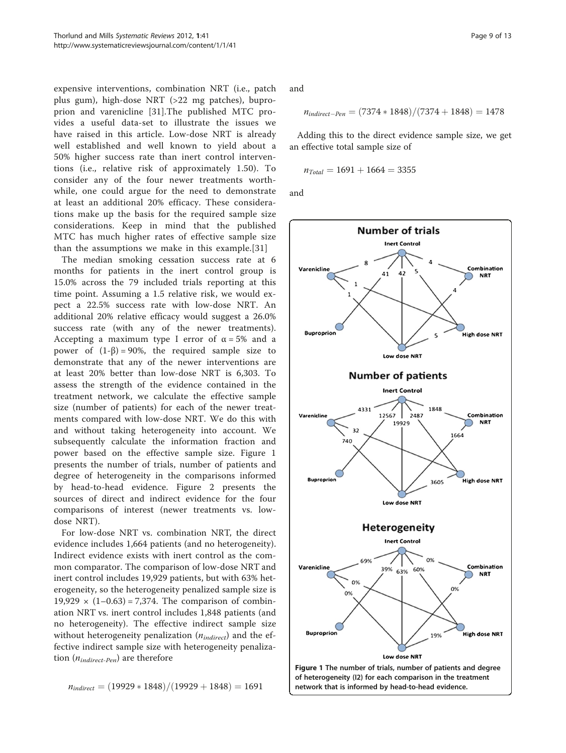expensive interventions, combination NRT (i.e., patch plus gum), high-dose NRT (>22 mg patches), buproprion and varenicline [[31\]](#page-12-0).The published MTC provides a useful data-set to illustrate the issues we have raised in this article. Low-dose NRT is already well established and well known to yield about a 50% higher success rate than inert control interventions (i.e., relative risk of approximately 1.50). To consider any of the four newer treatments worthwhile, one could argue for the need to demonstrate at least an additional 20% efficacy. These considerations make up the basis for the required sample size considerations. Keep in mind that the published MTC has much higher rates of effective sample size than the assumptions we make in this example.[\[31\]](#page-12-0)

The median smoking cessation success rate at 6 months for patients in the inert control group is 15.0% across the 79 included trials reporting at this time point. Assuming a 1.5 relative risk, we would expect a 22.5% success rate with low-dose NRT. An additional 20% relative efficacy would suggest a 26.0% success rate (with any of the newer treatments). Accepting a maximum type I error of  $\alpha = 5\%$  and a power of  $(1-β) = 90%$ , the required sample size to demonstrate that any of the newer interventions are at least 20% better than low-dose NRT is 6,303. To assess the strength of the evidence contained in the treatment network, we calculate the effective sample size (number of patients) for each of the newer treatments compared with low-dose NRT. We do this with and without taking heterogeneity into account. We subsequently calculate the information fraction and power based on the effective sample size. Figure 1 presents the number of trials, number of patients and degree of heterogeneity in the comparisons informed by head-to-head evidence. Figure [2](#page-9-0) presents the sources of direct and indirect evidence for the four comparisons of interest (newer treatments vs. lowdose NRT).

For low-dose NRT vs. combination NRT, the direct evidence includes 1,664 patients (and no heterogeneity). Indirect evidence exists with inert control as the common comparator. The comparison of low-dose NRT and inert control includes 19,929 patients, but with 63% heterogeneity, so the heterogeneity penalized sample size is  $19,929 \times (1 - 0.63) = 7,374$ . The comparison of combination NRT vs. inert control includes 1,848 patients (and no heterogeneity). The effective indirect sample size without heterogeneity penalization  $(n_{indirect})$  and the effective indirect sample size with heterogeneity penalization  $(n_{indirect-Pen})$  are therefore

$$
n_{indirect} = (19929 * 1848)/(19929 + 1848) = 1691
$$

and

$$
n_{indirect-Pen} = (7374 * 1848)/(7374 + 1848) = 1478
$$

Adding this to the direct evidence sample size, we get an effective total sample size of

$$
n_{\text{Total}} = 1691 + 1664 = 3355
$$

and

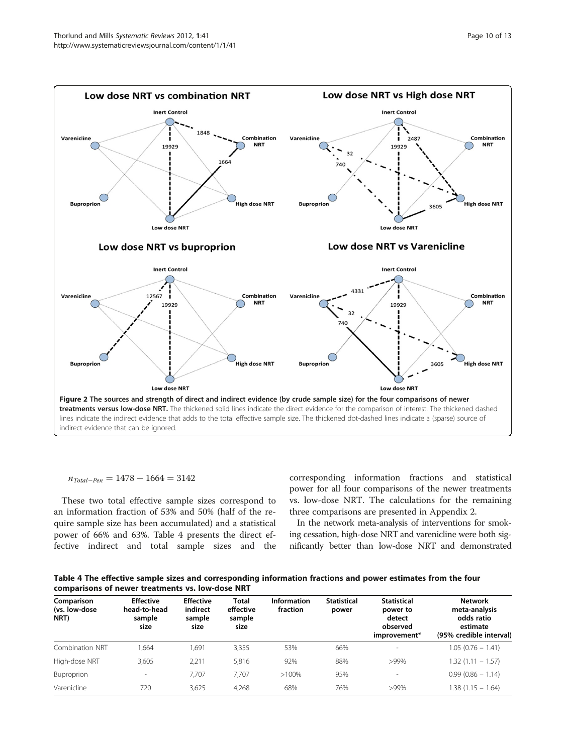<span id="page-9-0"></span>

# $n_{Total-Pen} = 1478 + 1664 = 3142$

These two total effective sample sizes correspond to an information fraction of 53% and 50% (half of the require sample size has been accumulated) and a statistical power of 66% and 63%. Table 4 presents the direct effective indirect and total sample sizes and the corresponding information fractions and statistical power for all four comparisons of the newer treatments vs. low-dose NRT. The calculations for the remaining three comparisons are presented in [Appendix 2.](#page-11-0)

In the network meta-analysis of interventions for smoking cessation, high-dose NRT and varenicline were both significantly better than low-dose NRT and demonstrated

Table 4 The effective sample sizes and corresponding information fractions and power estimates from the four comparisons of newer treatments vs. low-dose NRT

| Comparison<br>(vs. low-dose)<br>NRT) | <b>Effective</b><br>head-to-head<br>sample<br>size | <b>Effective</b><br>indirect<br>sample<br>size | <b>Total</b><br>effective<br>sample<br>size | <b>Information</b><br>fraction | <b>Statistical</b><br>power | <b>Statistical</b><br>power to<br>detect<br>observed<br>improvement* | <b>Network</b><br>meta-analysis<br>odds ratio<br>estimate<br>(95% credible interval) |
|--------------------------------------|----------------------------------------------------|------------------------------------------------|---------------------------------------------|--------------------------------|-----------------------------|----------------------------------------------------------------------|--------------------------------------------------------------------------------------|
| <b>Combination NRT</b>               | .664                                               | .691                                           | 3,355                                       | 53%                            | 66%                         | $\overline{\phantom{a}}$                                             | $1.05(0.76 - 1.41)$                                                                  |
| High-dose NRT                        | 3.605                                              | 2.211                                          | 5,816                                       | 92%                            | 88%                         | $>99\%$                                                              | $1.32(1.11 - 1.57)$                                                                  |
| Buproprion                           | $\overline{\phantom{a}}$                           | 7.707                                          | 7.707                                       | $>100\%$                       | 95%                         | $\overline{\phantom{a}}$                                             | $0.99(0.86 - 1.14)$                                                                  |
| Varenicline                          | 720                                                | 3,625                                          | 4.268                                       | 68%                            | 76%                         | $>99\%$                                                              | $1.38(1.15 - 1.64)$                                                                  |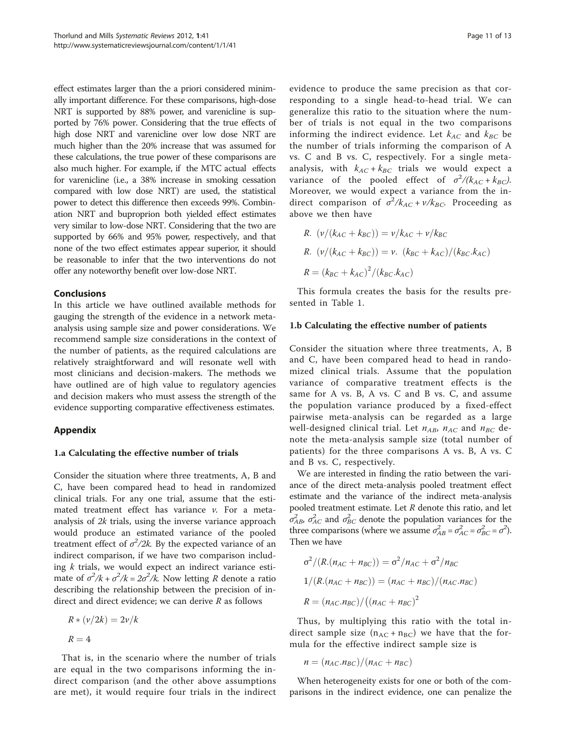<span id="page-10-0"></span>effect estimates larger than the a priori considered minimally important difference. For these comparisons, high-dose NRT is supported by 88% power, and varenicline is supported by 76% power. Considering that the true effects of high dose NRT and varenicline over low dose NRT are much higher than the 20% increase that was assumed for these calculations, the true power of these comparisons are also much higher. For example, if the MTC actual effects for varenicline (i.e., a 38% increase in smoking cessation compared with low dose NRT) are used, the statistical power to detect this difference then exceeds 99%. Combination NRT and buproprion both yielded effect estimates very similar to low-dose NRT. Considering that the two are supported by 66% and 95% power, respectively, and that none of the two effect estimates appear superior, it should be reasonable to infer that the two interventions do not offer any noteworthy benefit over low-dose NRT.

#### Conclusions

In this article we have outlined available methods for gauging the strength of the evidence in a network metaanalysis using sample size and power considerations. We recommend sample size considerations in the context of the number of patients, as the required calculations are relatively straightforward and will resonate well with most clinicians and decision-makers. The methods we have outlined are of high value to regulatory agencies and decision makers who must assess the strength of the evidence supporting comparative effectiveness estimates.

#### Appendix

#### 1.a Calculating the effective number of trials

Consider the situation where three treatments, A, B and C, have been compared head to head in randomized clinical trials. For any one trial, assume that the estimated treatment effect has variance v. For a metaanalysis of 2k trials, using the inverse variance approach would produce an estimated variance of the pooled treatment effect of  $\sigma^2/2k$ . By the expected variance of an indirect comparison, if we have two comparison including  $k$  trials, we would expect an indirect variance estimate of  $\sigma^2/k + \sigma^2/k = 2\sigma^2/k$ . Now letting R denote a ratio describing the relationship between the precision of indirect and direct evidence; we can derive  $R$  as follows

 $R * (\nu/2k) = 2\nu/k$  $R = 4$ 

That is, in the scenario where the number of trials are equal in the two comparisons informing the indirect comparison (and the other above assumptions are met), it would require four trials in the indirect evidence to produce the same precision as that corresponding to a single head-to-head trial. We can generalize this ratio to the situation where the number of trials is not equal in the two comparisons informing the indirect evidence. Let  $k_{AC}$  and  $k_{BC}$  be the number of trials informing the comparison of A vs. C and B vs. C, respectively. For a single metaanalysis, with  $k_{AC} + k_{BC}$  trials we would expect a variance of the pooled effect of  $\sigma^2/(k_{AC} + k_{BC})$ . Moreover, we would expect a variance from the indirect comparison of  $\sigma^2 / k_{AC} + v / k_{BC}$ . Proceeding as above we then have

R. 
$$
(\nu/(k_{AC} + k_{BC})) = \nu/k_{AC} + \nu/k_{BC}
$$
  
\nR.  $(\nu/(k_{AC} + k_{BC})) = \nu$ .  $(k_{BC} + k_{AC})/(k_{BC}.k_{AC})$   
\nR =  $(k_{BC} + k_{AC})^2/(k_{BC}.k_{AC})$ 

This formula creates the basis for the results presented in Table [1](#page-2-0).

#### 1.b Calculating the effective number of patients

Consider the situation where three treatments, A, B and C, have been compared head to head in randomized clinical trials. Assume that the population variance of comparative treatment effects is the same for A vs. B, A vs. C and B vs. C, and assume the population variance produced by a fixed-effect pairwise meta-analysis can be regarded as a large well-designed clinical trial. Let  $n_{AB}$ ,  $n_{AC}$  and  $n_{BC}$  denote the meta-analysis sample size (total number of patients) for the three comparisons A vs. B, A vs. C and B vs. C, respectively.

We are interested in finding the ratio between the variance of the direct meta-analysis pooled treatment effect estimate and the variance of the indirect meta-analysis pooled treatment estimate. Let  $R$  denote this ratio, and let  $\sigma_{AB}^2$ ,  $\sigma_{AC}^2$  and  $\sigma_{BC}^2$  denote the population variances for the three comparisons (where we assume  $\sigma_{AB}^2 = \sigma_{AC}^2 = \sigma_{BC}^2 = \sigma^2$ ). Then we have

$$
\sigma^2/(R.(n_{AC} + n_{BC})) = \sigma^2/n_{AC} + \sigma^2/n_{BC}
$$
  
1/(R.(n\_{AC} + n\_{BC})) = (n\_{AC} + n\_{BC})/(n\_{AC}.n\_{BC})  
R = (n\_{AC}.n\_{BC})/((n\_{AC} + n\_{BC})^2

Thus, by multiplying this ratio with the total indirect sample size  $(n_{AC} + n_{BC})$  we have that the formula for the effective indirect sample size is

$$
n = (n_{AC}.n_{BC})/(n_{AC}+n_{BC})
$$

When heterogeneity exists for one or both of the comparisons in the indirect evidence, one can penalize the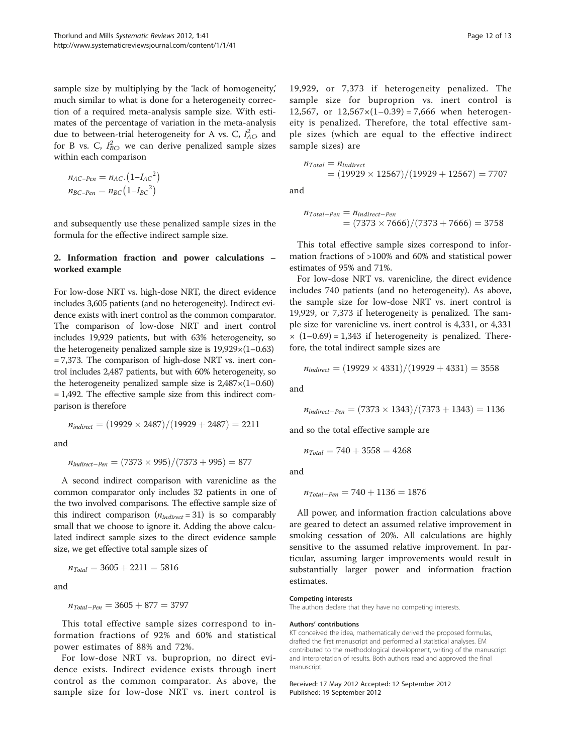<span id="page-11-0"></span>sample size by multiplying by the 'lack of homogeneity,' much similar to what is done for a heterogeneity correction of a required meta-analysis sample size. With estimates of the percentage of variation in the meta-analysis due to between-trial heterogeneity for A vs. C,  $I_{AG}^2$  and for B vs. C,  $I_{BC}^2$  we can derive penalized sample sizes within each comparison

$$
n_{AC-Pen} = n_{AC} \cdot (1 - I_{AC}^2)
$$
  

$$
n_{BC-Pen} = n_{BC} (1 - I_{BC}^2)
$$

and subsequently use these penalized sample sizes in the formula for the effective indirect sample size.

#### 2. Information fraction and power calculations – worked example

For low-dose NRT vs. high-dose NRT, the direct evidence includes 3,605 patients (and no heterogeneity). Indirect evidence exists with inert control as the common comparator. The comparison of low-dose NRT and inert control includes 19,929 patients, but with 63% heterogeneity, so the heterogeneity penalized sample size is 19,929×(1–0.63) = 7,373. The comparison of high-dose NRT vs. inert control includes 2,487 patients, but with 60% heterogeneity, so the heterogeneity penalized sample size is 2,487×(1–0.60) = 1,492. The effective sample size from this indirect comparison is therefore

$$
n_{indirect} = (19929 \times 2487)/(19929 + 2487) = 2211
$$

and

$$
n_{indirect-Pen} = (7373 \times 995)/(7373 + 995) = 877
$$

A second indirect comparison with varenicline as the common comparator only includes 32 patients in one of the two involved comparisons. The effective sample size of this indirect comparison  $(n_{indirect} = 31)$  is so comparably small that we choose to ignore it. Adding the above calculated indirect sample sizes to the direct evidence sample size, we get effective total sample sizes of

 $n_{Total} = 3605 + 2211 = 5816$ 

and

$$
n_{Total-Pen} = 3605 + 877 = 3797
$$

This total effective sample sizes correspond to information fractions of 92% and 60% and statistical power estimates of 88% and 72%.

For low-dose NRT vs. buproprion, no direct evidence exists. Indirect evidence exists through inert control as the common comparator. As above, the sample size for low-dose NRT vs. inert control is 19,929, or 7,373 if heterogeneity penalized. The sample size for buproprion vs. inert control is 12,567, or  $12,567 \times (1-0.39) = 7,666$  when heterogeneity is penalized. Therefore, the total effective sample sizes (which are equal to the effective indirect sample sizes) are

$$
n_{Total} = n_{indirect}
$$
  
= (19929 × 12567)/(19929 + 12567) = 7707

and

$$
n_{Total-Pen} = n_{indirect-Pen}
$$
  
= (7373 × 7666)/(7373 + 7666) = 3758

This total effective sample sizes correspond to information fractions of >100% and 60% and statistical power estimates of 95% and 71%.

For low-dose NRT vs. varenicline, the direct evidence includes 740 patients (and no heterogeneity). As above, the sample size for low-dose NRT vs. inert control is 19,929, or 7,373 if heterogeneity is penalized. The sample size for varenicline vs. inert control is 4,331, or 4,331  $\times$  (1–0.69) = 1,343 if heterogeneity is penalized. Therefore, the total indirect sample sizes are

$$
n_{indirect} = (19929 \times 4331)/(19929 + 4331) = 3558
$$

and

$$
n_{indirect-Pen} = (7373 \times 1343)/(7373 + 1343) = 1136
$$

and so the total effective sample are

$$
n_{Total} = 740 + 3558 = 4268
$$

and

$$
n_{Total-Pen} = 740 + 1136 = 1876
$$

All power, and information fraction calculations above are geared to detect an assumed relative improvement in smoking cessation of 20%. All calculations are highly sensitive to the assumed relative improvement. In particular, assuming larger improvements would result in substantially larger power and information fraction estimates.

#### Competing interests

The authors declare that they have no competing interests.

#### Authors' contributions

KT conceived the idea, mathematically derived the proposed formulas, drafted the first manuscript and performed all statistical analyses. EM contributed to the methodological development, writing of the manuscript and interpretation of results. Both authors read and approved the final manuscript.

Received: 17 May 2012 Accepted: 12 September 2012 Published: 19 September 2012